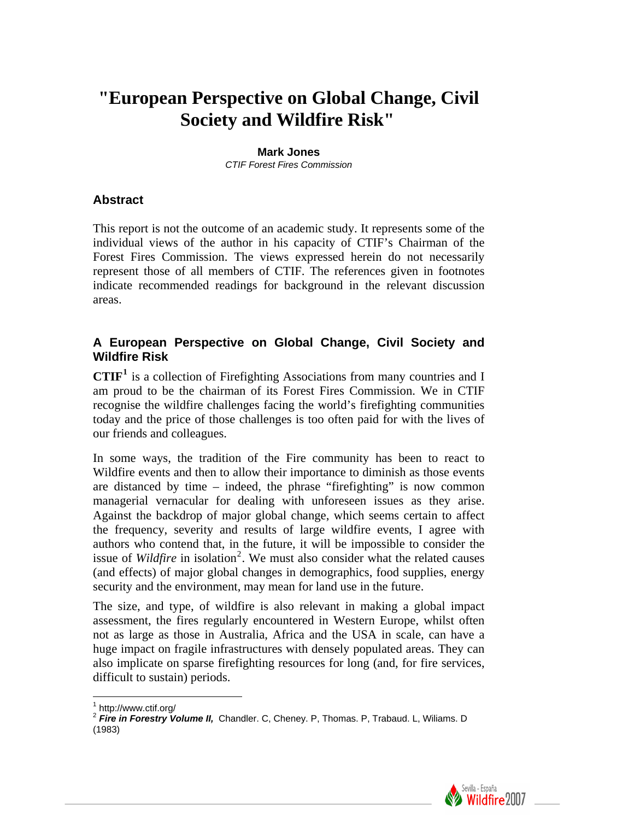# **"European Perspective on Global Change, Civil Society and Wildfire Risk"**

#### **Mark Jones**

*CTIF Forest Fires Commission* 

#### **Abstract**

This report is not the outcome of an academic study. It represents some of the individual views of the author in his capacity of CTIF's Chairman of the Forest Fires Commission. The views expressed herein do not necessarily represent those of all members of CTIF. The references given in footnotes indicate recommended readings for background in the relevant discussion areas.

#### **A European Perspective on Global Change, Civil Society and Wildfire Risk**

**CTIF[1](#page-0-0)** is a collection of Firefighting Associations from many countries and I am proud to be the chairman of its Forest Fires Commission. We in CTIF recognise the wildfire challenges facing the world's firefighting communities today and the price of those challenges is too often paid for with the lives of our friends and colleagues.

In some ways, the tradition of the Fire community has been to react to Wildfire events and then to allow their importance to diminish as those events are distanced by time – indeed, the phrase "firefighting" is now common managerial vernacular for dealing with unforeseen issues as they arise. Against the backdrop of major global change, which seems certain to affect the frequency, severity and results of large wildfire events, I agree with authors who contend that, in the future, it will be impossible to consider the issue of *Wildfire* in isolation<sup>[2](#page-0-1)</sup>. We must also consider what the related causes (and effects) of major global changes in demographics, food supplies, energy security and the environment, may mean for land use in the future.

The size, and type, of wildfire is also relevant in making a global impact assessment, the fires regularly encountered in Western Europe, whilst often not as large as those in Australia, Africa and the USA in scale, can have a huge impact on fragile infrastructures with densely populated areas. They can also implicate on sparse firefighting resources for long (and, for fire services, difficult to sustain) periods.

 $\overline{a}$ 



<span id="page-0-0"></span><sup>1</sup> http://www.ctif.org/

<span id="page-0-1"></span><sup>2</sup> *Fire in Forestry Volume II,* Chandler. C, Cheney. P, Thomas. P, Trabaud. L, Wiliams. D (1983)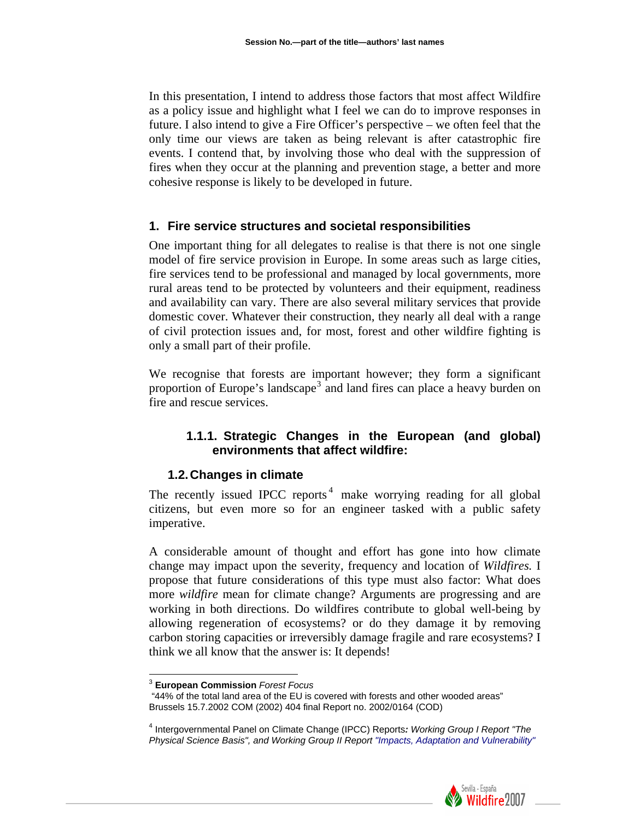In this presentation, I intend to address those factors that most affect Wildfire as a policy issue and highlight what I feel we can do to improve responses in future. I also intend to give a Fire Officer's perspective – we often feel that the only time our views are taken as being relevant is after catastrophic fire events. I contend that, by involving those who deal with the suppression of fires when they occur at the planning and prevention stage, a better and more cohesive response is likely to be developed in future.

#### **1. Fire service structures and societal responsibilities**

One important thing for all delegates to realise is that there is not one single model of fire service provision in Europe. In some areas such as large cities, fire services tend to be professional and managed by local governments, more rural areas tend to be protected by volunteers and their equipment, readiness and availability can vary. There are also several military services that provide domestic cover. Whatever their construction, they nearly all deal with a range of civil protection issues and, for most, forest and other wildfire fighting is only a small part of their profile.

We recognise that forests are important however; they form a significant proportion of Europe's landscape<sup>[3](#page-1-0)</sup> and land fires can place a heavy burden on fire and rescue services.

## **1.1.1. Strategic Changes in the European (and global) environments that affect wildfire:**

#### **1.2. Changes in climate**

The recently issued IPCC reports<sup>[4](#page-1-1)</sup> make worrying reading for all global citizens, but even more so for an engineer tasked with a public safety imperative.

A considerable amount of thought and effort has gone into how climate change may impact upon the severity, frequency and location of *Wildfires.* I propose that future considerations of this type must also factor: What does more *wildfire* mean for climate change? Arguments are progressing and are working in both directions. Do wildfires contribute to global well-being by allowing regeneration of ecosystems? or do they damage it by removing carbon storing capacities or irreversibly damage fragile and rare ecosystems? I think we all know that the answer is: It depends!

 $\overline{a}$ 

<span id="page-1-1"></span><sup>4</sup> Intergovernmental Panel on Climate Change (IPCC) Reports*: Working Group I Report "The Physical Science Basis", and Working Group II Report "Impacts, Adaptation and Vulnerability"* 



<sup>3</sup> **European Commission** *Forest Focus* 

<span id="page-1-0"></span> <sup>&</sup>quot;44% of the total land area of the EU is covered with forests and other wooded areas" Brussels 15.7.2002 COM (2002) 404 final Report no. 2002/0164 (COD)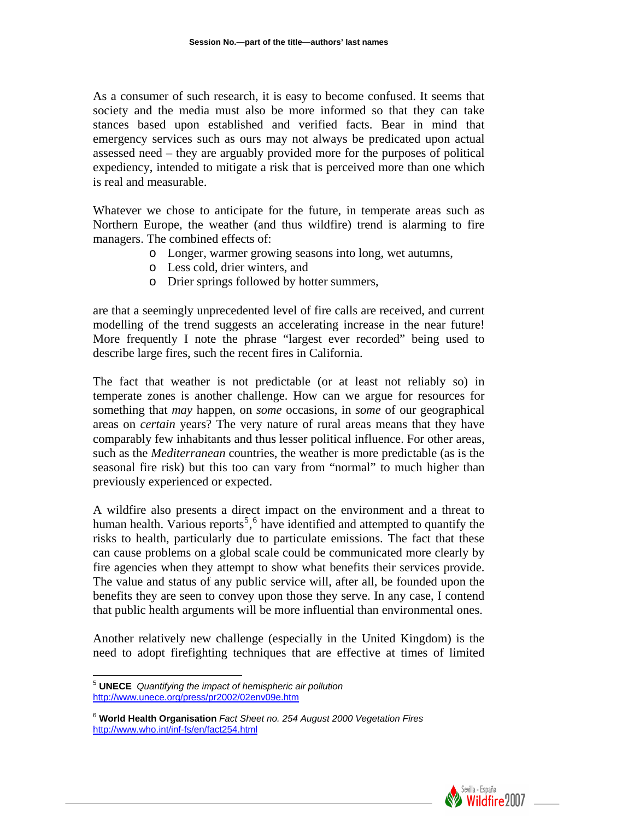As a consumer of such research, it is easy to become confused. It seems that society and the media must also be more informed so that they can take stances based upon established and verified facts. Bear in mind that emergency services such as ours may not always be predicated upon actual assessed need – they are arguably provided more for the purposes of political expediency, intended to mitigate a risk that is perceived more than one which is real and measurable.

Whatever we chose to anticipate for the future, in temperate areas such as Northern Europe, the weather (and thus wildfire) trend is alarming to fire managers. The combined effects of:

- o Longer, warmer growing seasons into long, wet autumns,
- o Less cold, drier winters, and
- o Drier springs followed by hotter summers,

are that a seemingly unprecedented level of fire calls are received, and current modelling of the trend suggests an accelerating increase in the near future! More frequently I note the phrase "largest ever recorded" being used to describe large fires, such the recent fires in California.

The fact that weather is not predictable (or at least not reliably so) in temperate zones is another challenge. How can we argue for resources for something that *may* happen, on *some* occasions, in *some* of our geographical areas on *certain* years? The very nature of rural areas means that they have comparably few inhabitants and thus lesser political influence. For other areas, such as the *Mediterranean* countries, the weather is more predictable (as is the seasonal fire risk) but this too can vary from "normal" to much higher than previously experienced or expected.

A wildfire also presents a direct impact on the environment and a threat to human health. Various reports<sup>[5](#page-2-0)</sup>,<sup>[6](#page-2-1)</sup> have identified and attempted to quantify the risks to health, particularly due to particulate emissions. The fact that these can cause problems on a global scale could be communicated more clearly by fire agencies when they attempt to show what benefits their services provide. The value and status of any public service will, after all, be founded upon the benefits they are seen to convey upon those they serve. In any case, I contend that public health arguments will be more influential than environmental ones.

Another relatively new challenge (especially in the United Kingdom) is the need to adopt firefighting techniques that are effective at times of limited



<span id="page-2-0"></span> $\overline{a}$ <sup>5</sup> **UNECE** *Quantifying the impact of hemispheric air pollution*  <http://www.unece.org/press/pr2002/02env09e.htm>

<span id="page-2-1"></span><sup>6</sup> **World Health Organisation** *Fact Sheet no. 254 August 2000 Vegetation Fires*  <http://www.who.int/inf-fs/en/fact254.html>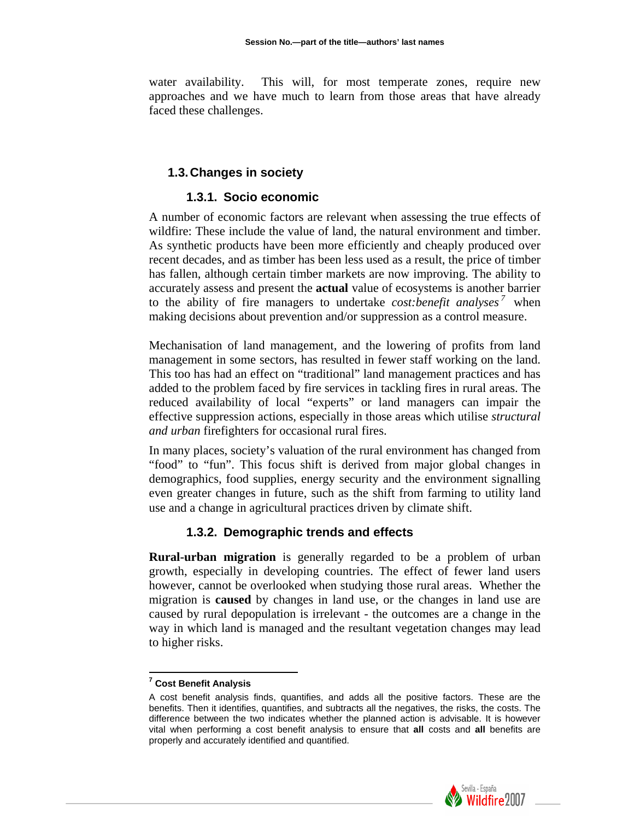water availability. This will, for most temperate zones, require new approaches and we have much to learn from those areas that have already faced these challenges.

## **1.3. Changes in society**

## **1.3.1. Socio economic**

A number of economic factors are relevant when assessing the true effects of wildfire: These include the value of land, the natural environment and timber. As synthetic products have been more efficiently and cheaply produced over recent decades, and as timber has been less used as a result, the price of timber has fallen, although certain timber markets are now improving. The ability to accurately assess and present the **actual** value of ecosystems is another barrier to the ability of fire managers to undertake *cost:benefit analyses*<sup>[7](#page-3-0)</sup> when making decisions about prevention and/or suppression as a control measure.

Mechanisation of land management, and the lowering of profits from land management in some sectors, has resulted in fewer staff working on the land. This too has had an effect on "traditional" land management practices and has added to the problem faced by fire services in tackling fires in rural areas. The reduced availability of local "experts" or land managers can impair the effective suppression actions, especially in those areas which utilise *structural and urban* firefighters for occasional rural fires.

In many places, society's valuation of the rural environment has changed from "food" to "fun". This focus shift is derived from major global changes in demographics, food supplies, energy security and the environment signalling even greater changes in future, such as the shift from farming to utility land use and a change in agricultural practices driven by climate shift.

## **1.3.2. Demographic trends and effects**

**Rural-urban migration** is generally regarded to be a problem of urban growth, especially in developing countries. The effect of fewer land users however, cannot be overlooked when studying those rural areas. Whether the migration is **caused** by changes in land use, or the changes in land use are caused by rural depopulation is irrelevant - the outcomes are a change in the way in which land is managed and the resultant vegetation changes may lead to higher risks.

<span id="page-3-0"></span>A cost benefit analysis finds, quantifies, and adds all the positive factors. These are the benefits. Then it identifies, quantifies, and subtracts all the negatives, the risks, the costs. The difference between the two indicates whether the planned action is advisable. It is however vital when performing a cost benefit analysis to ensure that **all** costs and **all** benefits are properly and accurately identified and quantified.



 **7 Cost Benefit Analysis**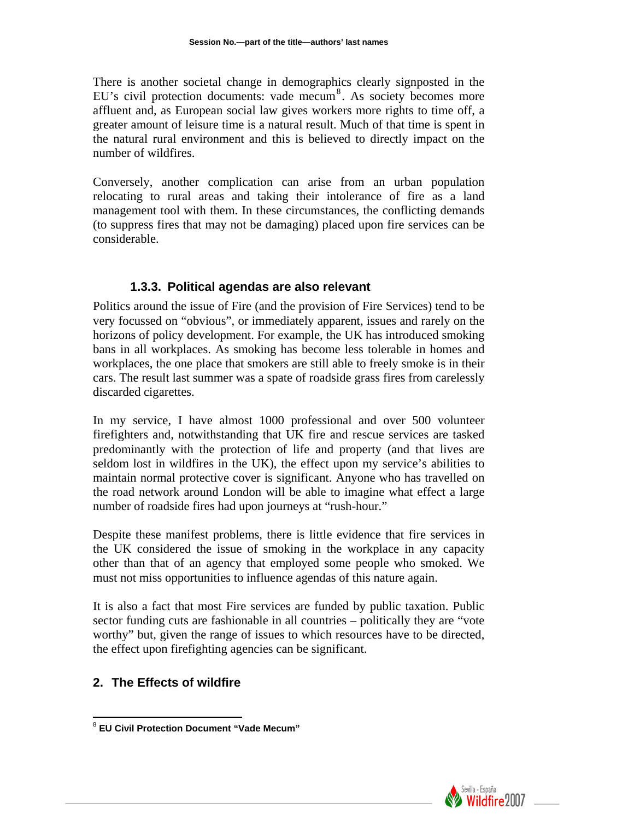There is another societal change in demographics clearly signposted in the EU's civil protection documents: vade mecum<sup>[8](#page-4-0)</sup>. As society becomes more affluent and, as European social law gives workers more rights to time off, a greater amount of leisure time is a natural result. Much of that time is spent in the natural rural environment and this is believed to directly impact on the number of wildfires.

Conversely, another complication can arise from an urban population relocating to rural areas and taking their intolerance of fire as a land management tool with them. In these circumstances, the conflicting demands (to suppress fires that may not be damaging) placed upon fire services can be considerable.

## **1.3.3. Political agendas are also relevant**

Politics around the issue of Fire (and the provision of Fire Services) tend to be very focussed on "obvious", or immediately apparent, issues and rarely on the horizons of policy development. For example, the UK has introduced smoking bans in all workplaces. As smoking has become less tolerable in homes and workplaces, the one place that smokers are still able to freely smoke is in their cars. The result last summer was a spate of roadside grass fires from carelessly discarded cigarettes.

In my service, I have almost 1000 professional and over 500 volunteer firefighters and, notwithstanding that UK fire and rescue services are tasked predominantly with the protection of life and property (and that lives are seldom lost in wildfires in the UK), the effect upon my service's abilities to maintain normal protective cover is significant. Anyone who has travelled on the road network around London will be able to imagine what effect a large number of roadside fires had upon journeys at "rush-hour."

Despite these manifest problems, there is little evidence that fire services in the UK considered the issue of smoking in the workplace in any capacity other than that of an agency that employed some people who smoked. We must not miss opportunities to influence agendas of this nature again.

It is also a fact that most Fire services are funded by public taxation. Public sector funding cuts are fashionable in all countries – politically they are "vote worthy" but, given the range of issues to which resources have to be directed, the effect upon firefighting agencies can be significant.

# **2. The Effects of wildfire**



<span id="page-4-0"></span> $\overline{a}$ <sup>8</sup> **EU Civil Protection Document "Vade Mecum"**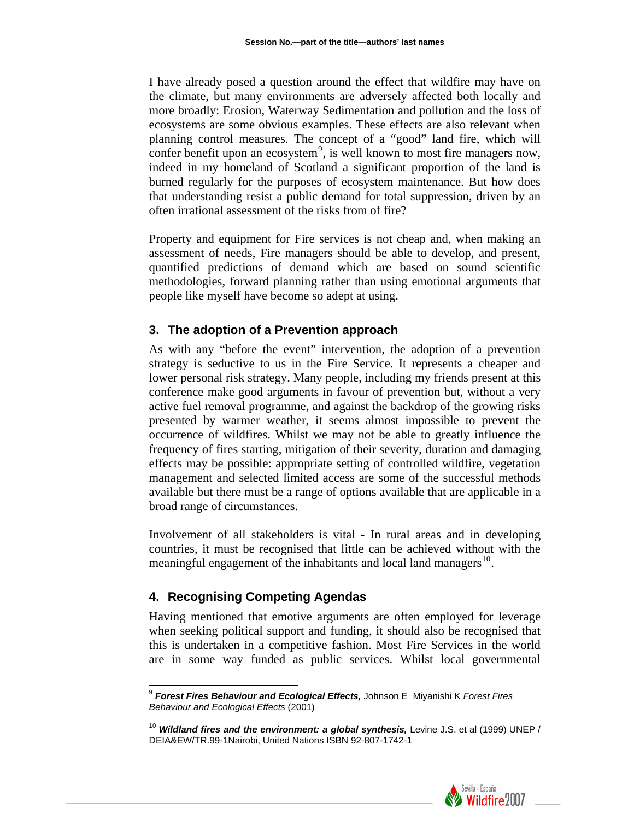I have already posed a question around the effect that wildfire may have on the climate, but many environments are adversely affected both locally and more broadly: Erosion, Waterway Sedimentation and pollution and the loss of ecosystems are some obvious examples. These effects are also relevant when planning control measures. The concept of a "good" land fire, which will confer benefit upon an ecosystem<sup>[9](#page-5-0)</sup>, is well known to most fire managers now, indeed in my homeland of Scotland a significant proportion of the land is burned regularly for the purposes of ecosystem maintenance. But how does that understanding resist a public demand for total suppression, driven by an often irrational assessment of the risks from of fire?

Property and equipment for Fire services is not cheap and, when making an assessment of needs, Fire managers should be able to develop, and present, quantified predictions of demand which are based on sound scientific methodologies, forward planning rather than using emotional arguments that people like myself have become so adept at using.

#### **3. The adoption of a Prevention approach**

As with any "before the event" intervention, the adoption of a prevention strategy is seductive to us in the Fire Service. It represents a cheaper and lower personal risk strategy. Many people, including my friends present at this conference make good arguments in favour of prevention but, without a very active fuel removal programme, and against the backdrop of the growing risks presented by warmer weather, it seems almost impossible to prevent the occurrence of wildfires. Whilst we may not be able to greatly influence the frequency of fires starting, mitigation of their severity, duration and damaging effects may be possible: appropriate setting of controlled wildfire, vegetation management and selected limited access are some of the successful methods available but there must be a range of options available that are applicable in a broad range of circumstances.

Involvement of all stakeholders is vital - In rural areas and in developing countries, it must be recognised that little can be achieved without with the meaningful engagement of the inhabitants and local land managers<sup>[10](#page-5-1)</sup>.

# **4. Recognising Competing Agendas**

 $\overline{\phantom{a}}$ 

Having mentioned that emotive arguments are often employed for leverage when seeking political support and funding, it should also be recognised that this is undertaken in a competitive fashion. Most Fire Services in the world are in some way funded as public services. Whilst local governmental

<span id="page-5-1"></span><sup>&</sup>lt;sup>10</sup> Wildland fires and the environment: a global synthesis, Levine J.S. et al (1999) UNEP / DEIA&EW/TR.99-1Nairobi, United Nations ISBN 92-807-1742-1



<span id="page-5-0"></span><sup>9</sup> *Forest Fires Behaviour and Ecological Effects,* Johnson E Miyanishi K *Forest Fires Behaviour and Ecological Effects* (2001)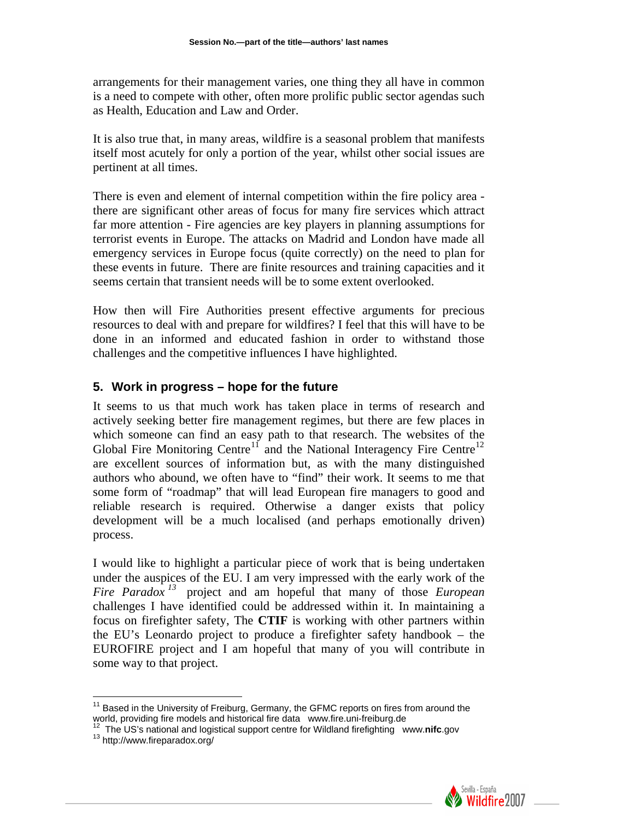arrangements for their management varies, one thing they all have in common is a need to compete with other, often more prolific public sector agendas such as Health, Education and Law and Order.

It is also true that, in many areas, wildfire is a seasonal problem that manifests itself most acutely for only a portion of the year, whilst other social issues are pertinent at all times.

There is even and element of internal competition within the fire policy area there are significant other areas of focus for many fire services which attract far more attention - Fire agencies are key players in planning assumptions for terrorist events in Europe. The attacks on Madrid and London have made all emergency services in Europe focus (quite correctly) on the need to plan for these events in future. There are finite resources and training capacities and it seems certain that transient needs will be to some extent overlooked.

How then will Fire Authorities present effective arguments for precious resources to deal with and prepare for wildfires? I feel that this will have to be done in an informed and educated fashion in order to withstand those challenges and the competitive influences I have highlighted.

## **5. Work in progress – hope for the future**

It seems to us that much work has taken place in terms of research and actively seeking better fire management regimes, but there are few places in which someone can find an easy path to that research. The websites of the Global Fire Monitoring Centre<sup>[11](#page-6-0)</sup> and the National Interagency Fire Centre<sup>[12](#page-6-1)</sup> are excellent sources of information but, as with the many distinguished authors who abound, we often have to "find" their work. It seems to me that some form of "roadmap" that will lead European fire managers to good and reliable research is required. Otherwise a danger exists that policy development will be a much localised (and perhaps emotionally driven) process.

I would like to highlight a particular piece of work that is being undertaken under the auspices of the EU. I am very impressed with the early work of the *Fire Paradox [13](#page-6-2)* project and am hopeful that many of those *European* challenges I have identified could be addressed within it. In maintaining a focus on firefighter safety, The **CTIF** is working with other partners within the EU's Leonardo project to produce a firefighter safety handbook – the EUROFIRE project and I am hopeful that many of you will contribute in some way to that project.

 $\overline{a}$ 



<span id="page-6-0"></span> $11$  Based in the University of Freiburg, Germany, the GFMC reports on fires from around the world, providing fire models and historical fire data www.fire.uni-freiburg.de<br><sup>12</sup> The US's national and logistical support centre for Wildland firefighting www.**nifc**.gov<br><sup>13</sup> http://www.fireparadox.org/

<span id="page-6-2"></span><span id="page-6-1"></span>